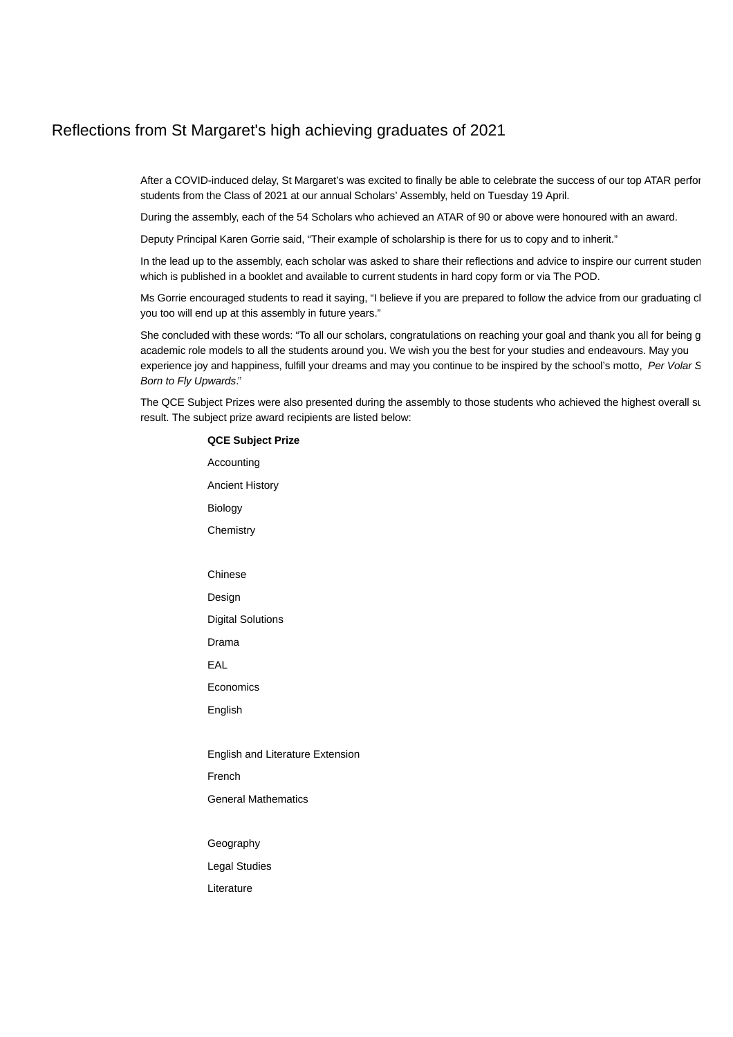## Reflections from St Margaret's high achieving graduates of 2021

After a COVID-induced delay, St Margaret's was excited to finally be able to celebrate the success of our top ATAR perfor students from the Class of 2021 at our annual Scholars' Assembly, held on Tuesday 19 April.

During the assembly, each of the 54 Scholars who achieved an ATAR of 90 or above were honoured with an award.

Deputy Principal Karen Gorrie said, "Their example of scholarship is there for us to copy and to inherit."

In the lead up to the assembly, each scholar was asked to share their reflections and advice to inspire our current studen which is published in a booklet and available to current students in hard copy form or via The POD.

Ms Gorrie encouraged students to read it saying, "I believe if you are prepared to follow the advice from our graduating cl you too will end up at this assembly in future years."

She concluded with these words: "To all our scholars, congratulations on reaching your goal and thank you all for being g academic role models to all the students around you. We wish you the best for your studies and endeavours. May you experience joy and happiness, fulfill your dreams and may you continue to be inspired by the school's motto, Per Volar S Born to Fly Upwards."

The QCE Subject Prizes were also presented during the assembly to those students who achieved the highest overall su result. The subject prize award recipients are listed below:

## **QCE Subject Prize** Accounting Ancient History Biology **Chemistry** Chinese Design Digital Solutions Drama EAL Economics English English and Literature Extension French General Mathematics Geography Legal Studies Literature